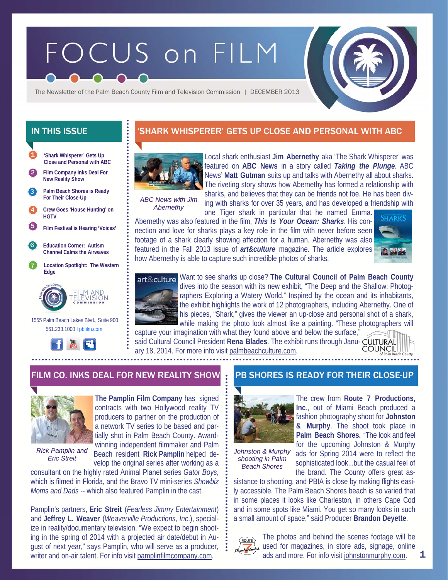# FOCUS on FILM



The Newsletter of the Palm Beach County Film and Television Commission | DECEMBER 2013

- **'Shark Whisperer' Gets Up Close and Personal with ABC**  1
- 2 **Film Company Inks Deal For New Reality Show**
- **Palm Beach Shores is Ready For Their Close-Up**  3
- 4 **Crew Goes 'House Hunting' on HGTV**
- 5 **Film Festival is Hearing 'Voices'**
- 6 **Education Corner: Autism Channel Calms the Airwaves**
- 7 **Location Spotlight: The Western Edge**



 1555 Palm Beach Lakes Blvd., Suite 900 561.233.1000 I pbfilm.com



## IN THIS ISSUE 'SHARK WHISPERER' GETS UP CLOSE AND PERSONAL WITH ABC



Local shark enthusiast **Jim Abernethy** aka 'The Shark Whisperer' was featured on **ABC News** in a story called *Taking the Plunge*. ABC News' **Matt Gutman** suits up and talks with Abernethy all about sharks. The riveting story shows how Abernethy has formed a relationship with sharks, and believes that they can be friends not foe. He has been div-

*ABC News with Jim Abernethy* 

ing with sharks for over 35 years, and has developed a friendship with one Tiger shark in particular that he named Emma.

Abernethy was also featured in the film, *This Is Your Ocean: Sharks*. His connection and love for sharks plays a key role in the film with never before seen footage of a shark clearly showing affection for a human. Abernethy was also featured in the Fall 2013 issue of *art&culture* magazine. The article explores how Abernethy is able to capture such incredible photos of sharks.





Want to see sharks up close? **The Cultural Council of Palm Beach County**  dives into the season with its new exhibit, "The Deep and the Shallow: Photographers Exploring a Watery World." Inspired by the ocean and its inhabitants, the exhibit highlights the work of 12 photographers, including Abernethy. One of his pieces, "Shark," gives the viewer an up-close and personal shot of a shark, while making the photo look almost like a painting. "These photographers will

capture your imagination with what they found above and below the surface," said Cultural Council President **Rena Blades**. The exhibit runs through January 18, 2014. For more info visit palmbeachculture.com.



#### FILM CO. INKS DEAL FOR NEW REALITY SHOW PPB SHORES IS READY FOR THEIR CLOSE-UP



*Rick Pamplin and Eric Streit* 

**The Pamplin Film Company** has signed contracts with two Hollywood reality TV producers to partner on the production of a network TV series to be based and partially shot in Palm Beach County. Awardwinning independent filmmaker and Palm Beach resident **Rick Pamplin** helped de-

velop the original series after working as a

consultant on the highly rated Animal Planet series *Gator Boys*, which is filmed in Florida, and the Bravo TV mini-series *Showbiz Moms and Dads* -- which also featured Pamplin in the cast.

Pamplin's partners, **Eric Streit** (*Fearless Jimmy Entertainment*) and **Jeffrey L. Weaver** (*Weaverville Productions, Inc*.), specialize in reality/documentary television. "We expect to begin shooting in the spring of 2014 with a projected air date/debut in August of next year," says Pamplin, who will serve as a producer, writer and on-air talent. For info visit pamplinfilmcompany.com.



The crew from **Route 7 Productions, Inc**., out of Miami Beach produced a fashion photography shoot for **Johnston & Murphy**. The shoot took place in **Palm Beach Shores.** "The look and feel for the upcoming Johnston & Murphy ads for Spring 2014 were to reflect the sophisticated look...but the casual feel of the brand. The County offers great as-

*Johnston & Murphy shooting in Palm Beach Shores* 

sistance to shooting, and PBIA is close by making flights easily accessible. The Palm Beach Shores beach is so varied that in some places it looks like Charleston, in others Cape Cod and in some spots like Miami. You get so many looks in such a small amount of space," said Producer **Brandon Deyette**.



The photos and behind the scenes footage will be used for magazines, in store ads, signage, online ads and more. For info visit johnstonmurphy.com.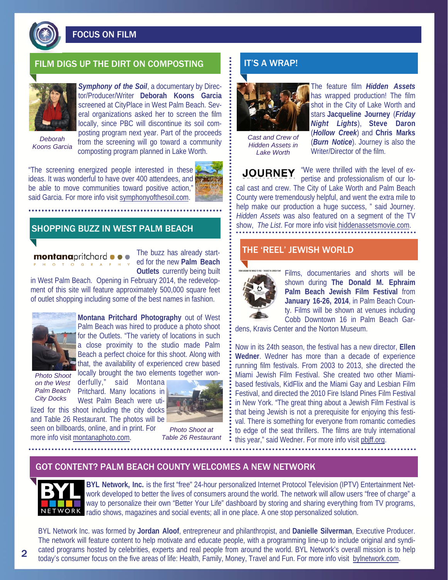

FOCUS ON FILM

## FILM DIGS UP THE DIRT ON COMPOSTING  $\Box$  it's a wrap!



*Symphony of the Soil*, a documentary by Director/Producer/Writer **Deborah Koons Garcia**  screened at CityPlace in West Palm Beach. Several organizations asked her to screen the film locally, since PBC will discontinue its soil composting program next year. Part of the proceeds

*Deborah Koons Garcia* 

from the screening will go toward a community composting program planned in Lake Worth.

"The screening energized people interested in these ideas. It was wonderful to have over 400 attendees, and be able to move communities toward positive action," said Garcia. For more info visit symphonyofthesoil.com.



## SHOPPING BUZZ IN WEST PALM BEACH

montanapritchard o T O G R A

The buzz has already started for the new **Palm Beach Outlets** currently being built

in West Palm Beach. Opening in February 2014, the redevelopment of this site will feature approximately 500,000 square feet of outlet shopping including some of the best names in fashion.



**Montana Pritchard Photography** out of West Palm Beach was hired to produce a photo shoot for the Outlets. "The variety of locations in such a close proximity to the studio made Palm Beach a perfect choice for this shoot. Along with that, the availability of experienced crew based locally brought the two elements together won-

*Photo Shoot on the West City Docks* 

derfully," said Montana **Palm Beach** Pritchard. Many locations in West Palm Beach were utilized for this shoot including the city docks

and Table 26 Restaurant. The photos will be

more info visit montanaphoto.com.



seen on billboards, online, and in print. For *Photo Shoot at Table 26 Restaurant* 



*Cast and Crew of Hidden Assets in Lake Worth* 

The feature film *Hidden Assets*  has wrapped production! The film shot in the City of Lake Worth and stars **Jacqueline Journey** (*Friday Night Lights*), **Steve Daron** (*Hollow Creek*) and **Chris Marks**  (*Burn Notice*). Journey is also the Writer/Director of the film.

**JOURNEY** 

"We were thrilled with the level of expertise and professionalism of our lo-

cal cast and crew. The City of Lake Worth and Palm Beach County were tremendously helpful, and went the extra mile to help make our production a huge success, " said Journey. *Hidden Assets* was also featured on a segment of the TV show, *The List*. For more info visit hiddenassetsmovie.com.

#### THE 'REEL' JEWISH WORLD



Films, documentaries and shorts will be shown during **The Donald M. Ephraim Palm Beach Jewish Film Festival** from **January 16-26, 2014**, in Palm Beach County. Films will be shown at venues including Cobb Downtown 16 in Palm Beach Gar-

dens, Kravis Center and the Norton Museum.

Now in its 24th season, the festival has a new director, **Ellen Wedner**. Wedner has more than a decade of experience running film festivals. From 2003 to 2013, she directed the Miami Jewish Film Festival. She created two other Miamibased festivals, KidFlix and the Miami Gay and Lesbian Film Festival, and directed the 2010 Fire Island Pines Film Festival in New York. "The great thing about a Jewish Film Festival is that being Jewish is not a prerequisite for enjoying this festival. There is something for everyone from romantic comedies to edge of the seat thrillers. The films are truly international this year," said Wedner. For more info visit pbjff.org.

#### GOT CONTENT? PALM BEACH COUNTY WELCOMES A NEW NETWORK



**BYL Network, Inc.** is the first "free" 24-hour personalized Internet Protocol Television (IPTV) Entertainment Network developed to better the lives of consumers around the world. The network will allow users "free of charge" a way to personalize their own "Better Your Life" dashboard by storing and sharing everything from TV programs, radio shows, magazines and social events; all in one place. A one stop personalized solution.

BYL Network Inc. was formed by **Jordan Aloof**, entrepreneur and philanthropist, and **Danielle Silverman**, Executive Producer. The network will feature content to help motivate and educate people, with a programming line-up to include original and syndicated programs hosted by celebrities, experts and real people from around the world. BYL Network's overall mission is to help today's consumer focus on the five areas of life: Health, Family, Money, Travel and Fun. For more info visit bylnetwork.com.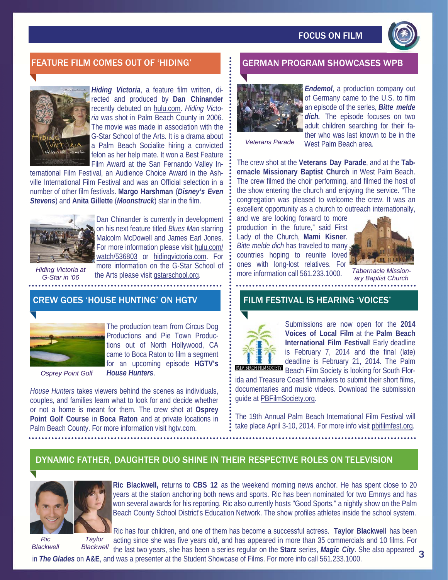

#### FEATURE FILM COMES OUT OF 'HIDING' GERMAN PROGRAM SHOWCASES WPB



*Hiding Victoria*, a feature film written, directed and produced by **Dan Chinander**  recently debuted on hulu.com. *Hiding Victoria* was shot in Palm Beach County in 2006. The movie was made in association with the G-Star School of the Arts. It is a drama about a Palm Beach Socialite hiring a convicted felon as her help mate. It won a Best Feature Film Award at the San Fernando Valley In-

ternational Film Festival, an Audience Choice Award in the Ashville International Film Festival and was an Official selection in a number of other film festivals. **Margo Harshman** (*Disney's Even Stevens*) and **Anita Gillette** (*Moonstruck*) star in the film.



Dan Chinander is currently in development on his next feature titled *Blues Man* starring Malcolm McDowell and James Earl Jones. For more information please visit hulu.com/ watch/536803 or hidingvictoria.com. For more information on the G-Star School of

*Hiding Victoria at G-Star in '06* 

the Arts please visit gstarschool.org. 

#### CREW GOES 'HOUSE HUNTING' ON HGTV



The production team from Circus Dog Productions and Pie Town Productions out of North Hollywood, CA came to Boca Raton to film a segment for an upcoming episode **HGTV's**  *House Hunters*.

*Osprey Point Golf* 

*House Hunters* takes viewers behind the scenes as individuals, couples, and families learn what to look for and decide whether or not a home is meant for them. The crew shot at **Osprey Point Golf Course** in **Boca Raton** and at private locations in Palm Beach County. For more information visit hgtv.com.



*Endemol*, a production company out of Germany came to the U.S. to film an episode of the series, *Bitte melde*  dich. The episode focuses on two adult children searching for their father who was last known to be in the

*Veterans Parade* 

West Palm Beach area.

The crew shot at the **Veterans Day Parade**, and at the **Tabernacle Missionary Baptist Church** in West Palm Beach. The crew filmed the choir performing, and filmed the host of the show entering the church and enjoying the service. "The congregation was pleased to welcome the crew. It was an excellent opportunity as a church to outreach internationally,

and we are looking forward to more production in the future," said First Lady of the Church, **Mami Kisner**. *Bitte melde dich* has traveled to many countries hoping to reunite loved ones with long-lost relatives. For more information call 561.233.1000.



*Tabernacle Missionary Baptist Church* 

#### FILM FESTIVAL IS HEARING 'VOICES'



Submissions are now open for the **2014 Voices of Local Film** at the **Palm Beach International Film Festival**! Early deadline is February 7, 2014 and the final (late) deadline is February 21, 2014. The Palm Beach Film Society is looking for South Flor-

ida and Treasure Coast filmmakers to submit their short films, documentaries and music videos. Download the submission guide at PBFilmSociety.org.

The 19th Annual Palm Beach International Film Festival will take place April 3-10, 2014. For more info visit pbifilmfest.org.

## DYNAMIC FATHER, DAUGHTER DUO SHINE IN THEIR RESPECTIVE ROLES ON TELEVISION



 *Ric Taylor Blackwell Blackwell* 

**Ric Blackwell,** returns to **CBS 12** as the weekend morning news anchor. He has spent close to 20 years at the station anchoring both news and sports. Ric has been nominated for two Emmys and has won several awards for his reporting. Ric also currently hosts "Good Sports," a nightly show on the Palm Beach County School District's Education Network. The show profiles athletes inside the school system.

Ric has four children, and one of them has become a successful actress. **Taylor Blackwell** has been acting since she was five years old, and has appeared in more than 35 commercials and 10 films. For the last two years, she has been a series regular on the **Starz** series, *Magic City*. She also appeared 3

in *The Glades* on **A&E**, and was a presenter at the Student Showcase of Films. For more info call 561.233.1000.